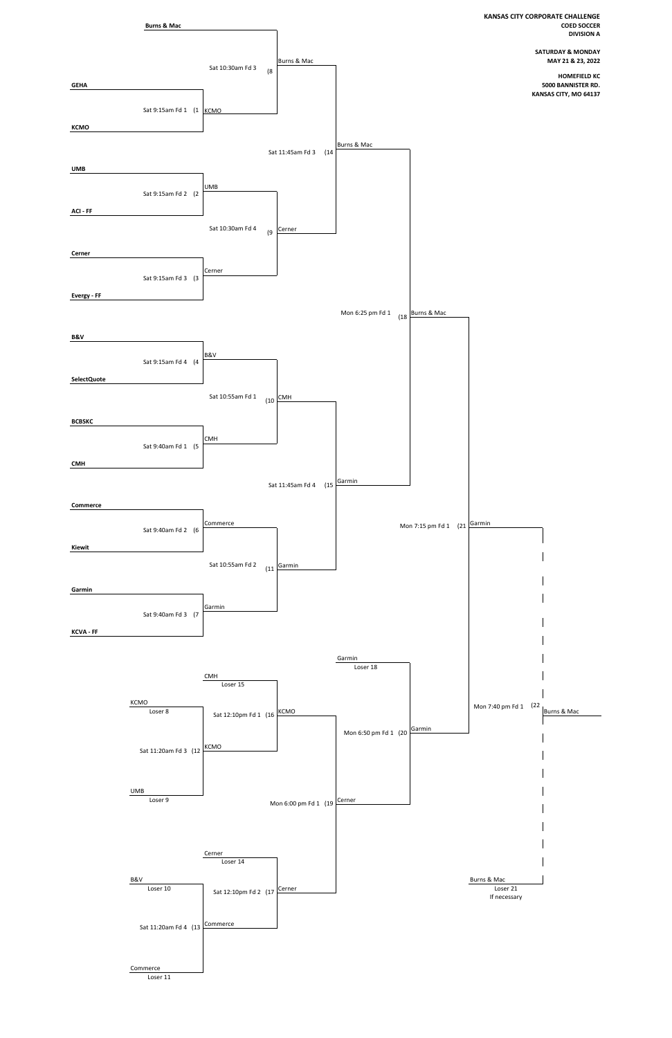

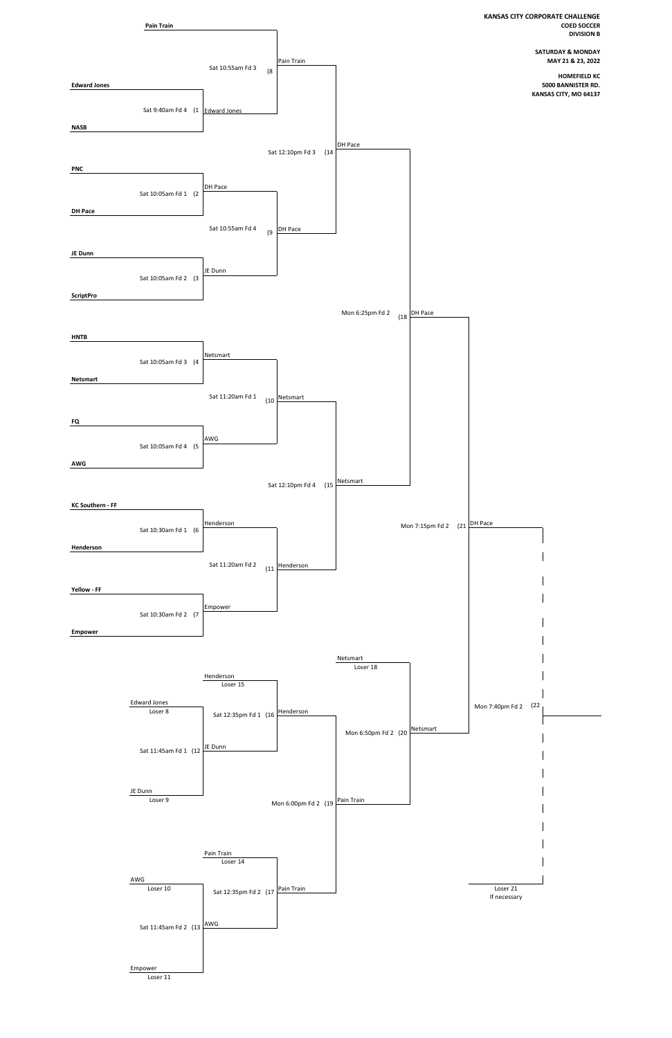

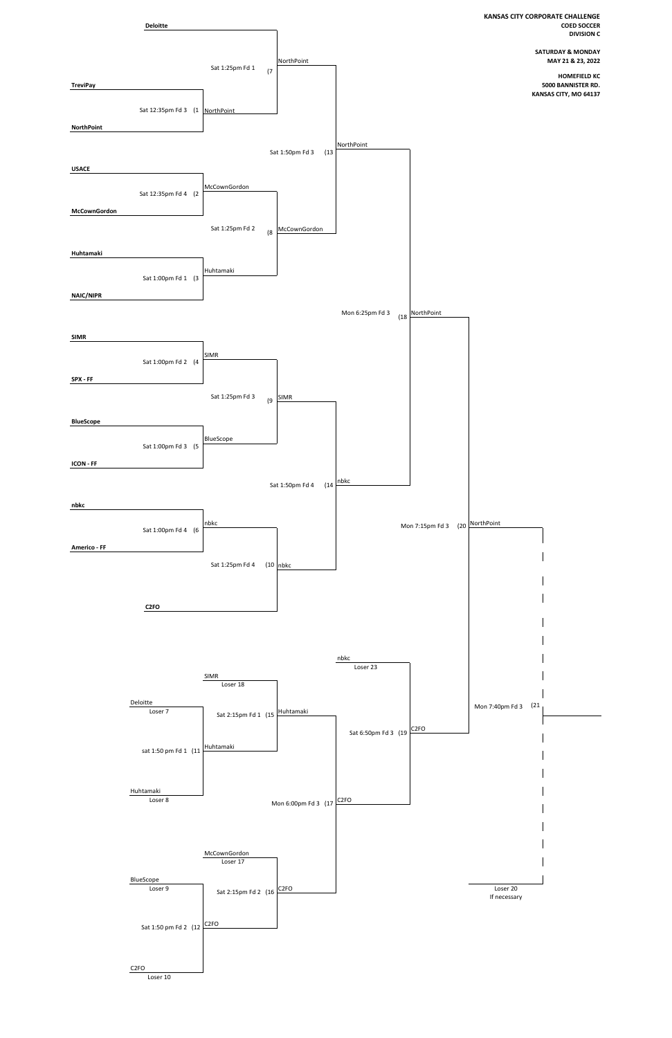

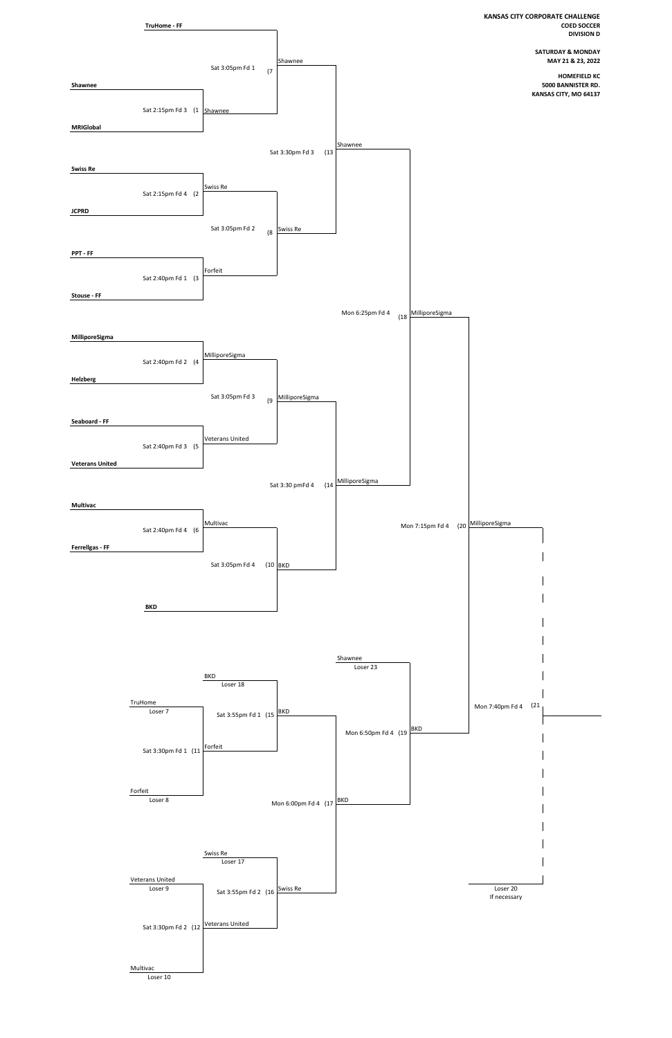

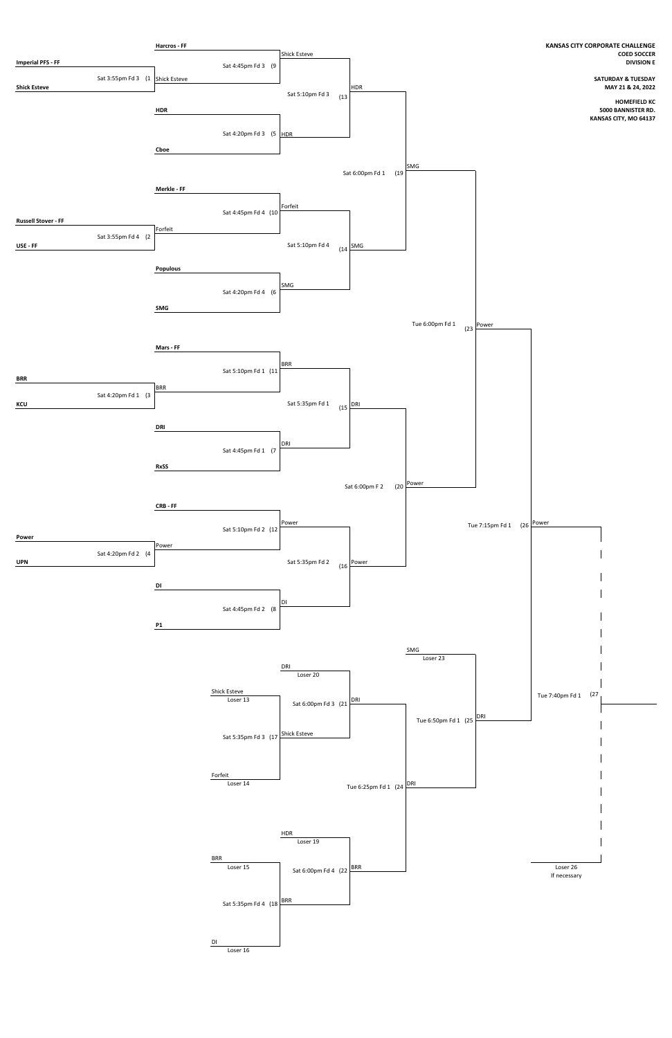

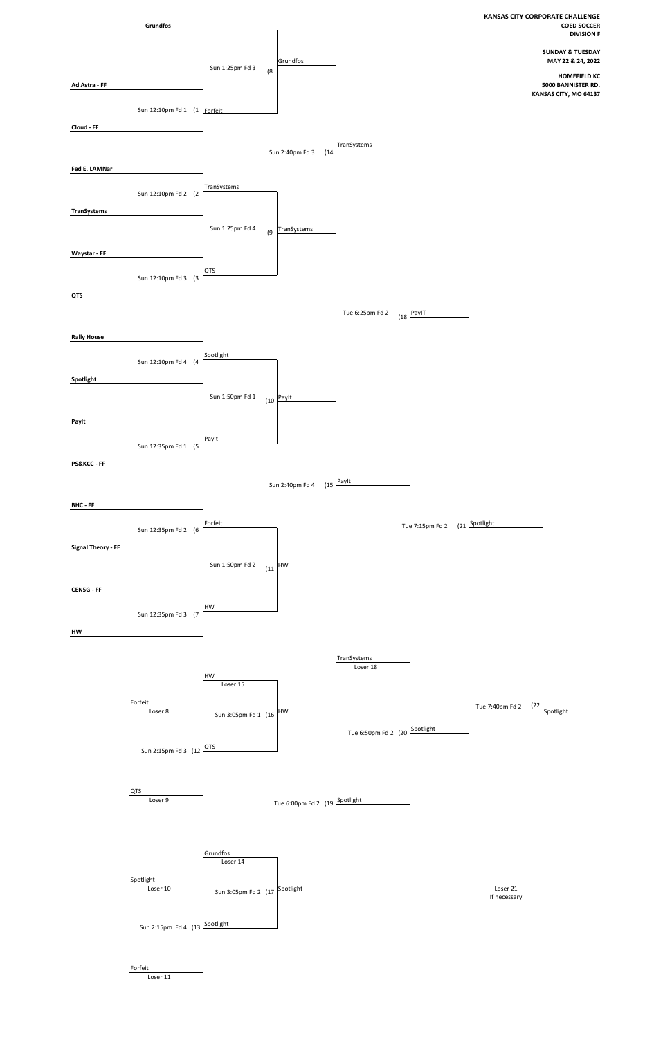